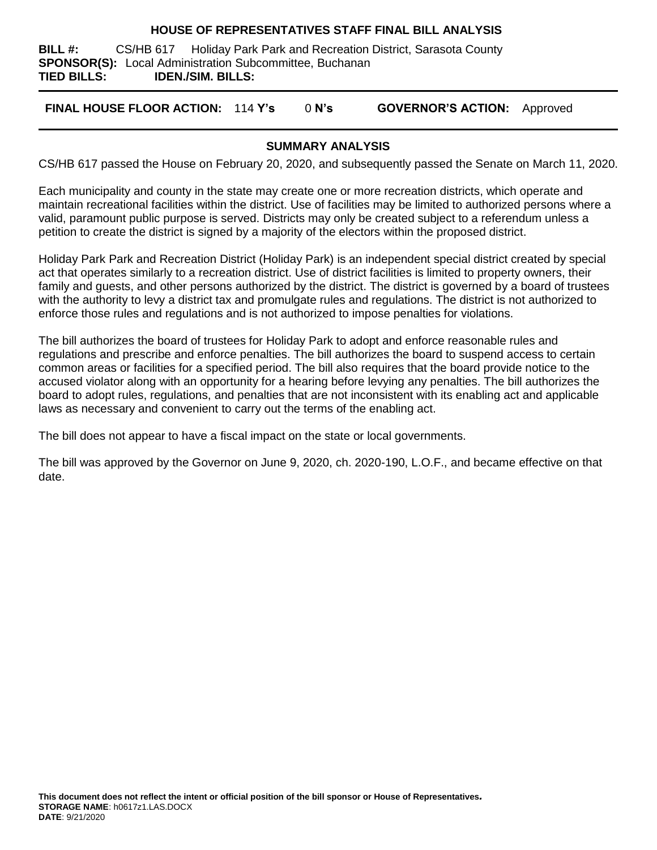#### **HOUSE OF REPRESENTATIVES STAFF FINAL BILL ANALYSIS**

**BILL #:** CS/HB 617 Holiday Park Park and Recreation District, Sarasota County **SPONSOR(S):** Local Administration Subcommittee, Buchanan **TIED BILLS: IDEN./SIM. BILLS:**

**FINAL HOUSE FLOOR ACTION:** 114 **Y's** 0 **N's GOVERNOR'S ACTION:** Approved

## **SUMMARY ANALYSIS**

CS/HB 617 passed the House on February 20, 2020, and subsequently passed the Senate on March 11, 2020.

Each municipality and county in the state may create one or more recreation districts, which operate and maintain recreational facilities within the district. Use of facilities may be limited to authorized persons where a valid, paramount public purpose is served. Districts may only be created subject to a referendum unless a petition to create the district is signed by a majority of the electors within the proposed district.

Holiday Park Park and Recreation District (Holiday Park) is an independent special district created by special act that operates similarly to a recreation district. Use of district facilities is limited to property owners, their family and guests, and other persons authorized by the district. The district is governed by a board of trustees with the authority to levy a district tax and promulgate rules and regulations. The district is not authorized to enforce those rules and regulations and is not authorized to impose penalties for violations.

The bill authorizes the board of trustees for Holiday Park to adopt and enforce reasonable rules and regulations and prescribe and enforce penalties. The bill authorizes the board to suspend access to certain common areas or facilities for a specified period. The bill also requires that the board provide notice to the accused violator along with an opportunity for a hearing before levying any penalties. The bill authorizes the board to adopt rules, regulations, and penalties that are not inconsistent with its enabling act and applicable laws as necessary and convenient to carry out the terms of the enabling act.

The bill does not appear to have a fiscal impact on the state or local governments.

The bill was approved by the Governor on June 9, 2020, ch. 2020-190, L.O.F., and became effective on that date.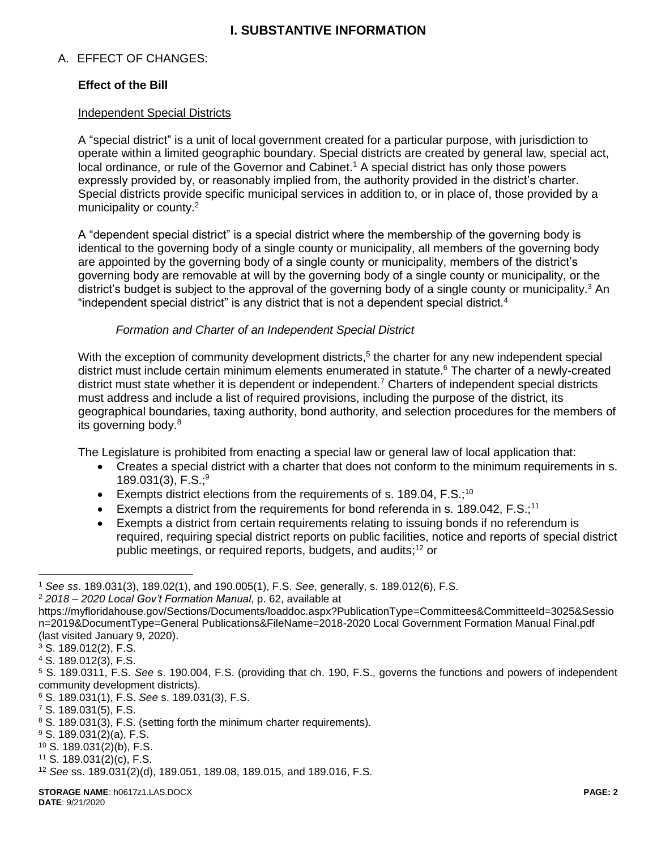# **I. SUBSTANTIVE INFORMATION**

## A. EFFECT OF CHANGES:

## **Effect of the Bill**

#### Independent Special Districts

A "special district" is a unit of local government created for a particular purpose, with jurisdiction to operate within a limited geographic boundary. Special districts are created by general law, special act, local ordinance, or rule of the Governor and Cabinet.<sup>1</sup> A special district has only those powers expressly provided by, or reasonably implied from, the authority provided in the district's charter. Special districts provide specific municipal services in addition to, or in place of, those provided by a municipality or county.<sup>2</sup>

A "dependent special district" is a special district where the membership of the governing body is identical to the governing body of a single county or municipality, all members of the governing body are appointed by the governing body of a single county or municipality, members of the district's governing body are removable at will by the governing body of a single county or municipality, or the district's budget is subject to the approval of the governing body of a single county or municipality.<sup>3</sup> An "independent special district" is any district that is not a dependent special district. $4$ 

#### *Formation and Charter of an Independent Special District*

With the exception of community development districts,<sup>5</sup> the charter for any new independent special district must include certain minimum elements enumerated in statute. <sup>6</sup> The charter of a newly-created district must state whether it is dependent or independent.<sup>7</sup> Charters of independent special districts must address and include a list of required provisions, including the purpose of the district, its geographical boundaries, taxing authority, bond authority, and selection procedures for the members of its governing body.<sup>8</sup>

The Legislature is prohibited from enacting a special law or general law of local application that:

- Creates a special district with a charter that does not conform to the minimum requirements in s. 189.031(3),  $F.S.^9$
- Exempts district elections from the requirements of s. 189.04,  $F.S.^{10}$
- Exempts a district from the requirements for bond referenda in s. 189.042,  $F.S.;<sup>11</sup>$
- Exempts a district from certain requirements relating to issuing bonds if no referendum is required, requiring special district reports on public facilities, notice and reports of special district public meetings, or required reports, budgets, and audits; <sup>12</sup> or

 $\overline{a}$ 

- <sup>9</sup> S. 189.031(2)(a), F.S.
- <sup>10</sup> S. 189.031(2)(b), F.S.
- $11$  S. 189.031(2)(c), F.S.

<sup>1</sup> *See ss*. 189.031(3), 189.02(1), and 190.005(1), F.S. *See*, generally, s. 189.012(6), F.S.

<sup>2</sup> *2018 – 2020 Local Gov't Formation Manual*, p. 62, available at

https://myfloridahouse.gov/Sections/Documents/loaddoc.aspx?PublicationType=Committees&CommitteeId=3025&Sessio n=2019&DocumentType=General Publications&FileName=2018-2020 Local Government Formation Manual Final.pdf (last visited January 9, 2020).

<sup>3</sup> S. 189.012(2), F.S.

<sup>4</sup> S. 189.012(3), F.S.

<sup>5</sup> S. 189.0311, F.S. *See* s. 190.004, F.S. (providing that ch. 190, F.S., governs the functions and powers of independent community development districts).

<sup>6</sup> S. 189.031(1), F.S. *See* s. 189.031(3), F.S.

<sup>7</sup> S. 189.031(5), F.S.

<sup>8</sup> S. 189.031(3), F.S. (setting forth the minimum charter requirements).

<sup>12</sup> *See* ss. 189.031(2)(d), 189.051, 189.08, 189.015, and 189.016, F.S.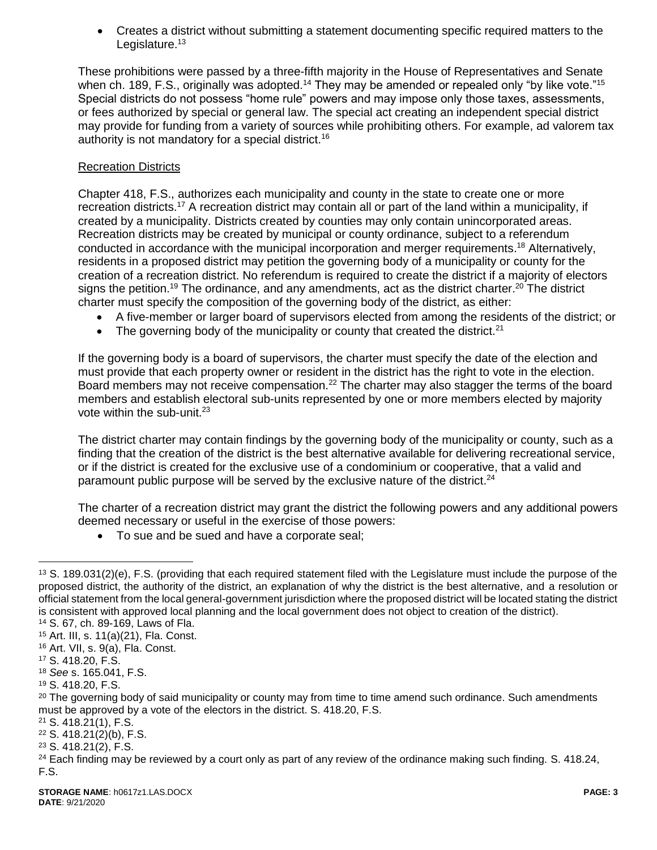Creates a district without submitting a statement documenting specific required matters to the Legislature. $13$ 

These prohibitions were passed by a three-fifth majority in the House of Representatives and Senate when ch. 189, F.S., originally was adopted.<sup>14</sup> They may be amended or repealed only "by like vote."<sup>15</sup> Special districts do not possess "home rule" powers and may impose only those taxes, assessments, or fees authorized by special or general law. The special act creating an independent special district may provide for funding from a variety of sources while prohibiting others. For example, ad valorem tax authority is not mandatory for a special district.<sup>16</sup>

## Recreation Districts

Chapter 418, F.S., authorizes each municipality and county in the state to create one or more recreation districts.<sup>17</sup> A recreation district may contain all or part of the land within a municipality, if created by a municipality. Districts created by counties may only contain unincorporated areas. Recreation districts may be created by municipal or county ordinance, subject to a referendum conducted in accordance with the municipal incorporation and merger requirements. <sup>18</sup> Alternatively, residents in a proposed district may petition the governing body of a municipality or county for the creation of a recreation district. No referendum is required to create the district if a majority of electors signs the petition.<sup>19</sup> The ordinance, and any amendments, act as the district charter.<sup>20</sup> The district charter must specify the composition of the governing body of the district, as either:

- A five-member or larger board of supervisors elected from among the residents of the district; or
- The governing body of the municipality or county that created the district. $21$

If the governing body is a board of supervisors, the charter must specify the date of the election and must provide that each property owner or resident in the district has the right to vote in the election. Board members may not receive compensation.<sup>22</sup> The charter may also stagger the terms of the board members and establish electoral sub-units represented by one or more members elected by majority vote within the sub-unit.<sup>23</sup>

The district charter may contain findings by the governing body of the municipality or county, such as a finding that the creation of the district is the best alternative available for delivering recreational service, or if the district is created for the exclusive use of a condominium or cooperative, that a valid and paramount public purpose will be served by the exclusive nature of the district.<sup>24</sup>

The charter of a recreation district may grant the district the following powers and any additional powers deemed necessary or useful in the exercise of those powers:

• To sue and be sued and have a corporate seal;

 $\overline{a}$ 

<sup>21</sup> S. 418.21(1), F.S.

<sup>23</sup> S. 418.21(2), F.S.

 $13$  S, 189.031(2)(e), F.S. (providing that each required statement filed with the Legislature must include the purpose of the proposed district, the authority of the district, an explanation of why the district is the best alternative, and a resolution or official statement from the local general-government jurisdiction where the proposed district will be located stating the district is consistent with approved local planning and the local government does not object to creation of the district).

<sup>14</sup> S. 67, ch. 89-169, Laws of Fla.

<sup>15</sup> Art. III, s. 11(a)(21), Fla. Const.

<sup>16</sup> Art. VII, s. 9(a), Fla. Const.

<sup>17</sup> S. 418.20, F.S.

<sup>18</sup> *See* s. 165.041, F.S.

<sup>19</sup> S. 418.20, F.S.

<sup>&</sup>lt;sup>20</sup> The governing body of said municipality or county may from time to time amend such ordinance. Such amendments must be approved by a vote of the electors in the district. S. 418.20, F.S.

<sup>22</sup> S. 418.21(2)(b), F.S.

 $24$  Each finding may be reviewed by a court only as part of any review of the ordinance making such finding. S. 418.24, F.S.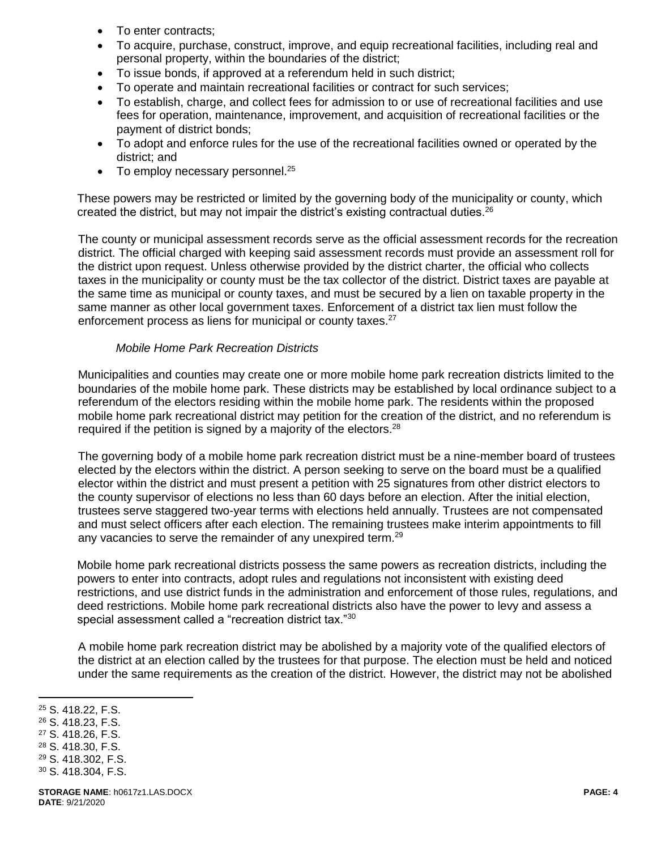- To enter contracts;
- To acquire, purchase, construct, improve, and equip recreational facilities, including real and personal property, within the boundaries of the district;
- To issue bonds, if approved at a referendum held in such district;
- To operate and maintain recreational facilities or contract for such services;
- To establish, charge, and collect fees for admission to or use of recreational facilities and use fees for operation, maintenance, improvement, and acquisition of recreational facilities or the payment of district bonds;
- To adopt and enforce rules for the use of the recreational facilities owned or operated by the district; and
- $\bullet$  To employ necessary personnel.<sup>25</sup>

These powers may be restricted or limited by the governing body of the municipality or county, which created the district, but may not impair the district's existing contractual duties.<sup>26</sup>

The county or municipal assessment records serve as the official assessment records for the recreation district. The official charged with keeping said assessment records must provide an assessment roll for the district upon request. Unless otherwise provided by the district charter, the official who collects taxes in the municipality or county must be the tax collector of the district. District taxes are payable at the same time as municipal or county taxes, and must be secured by a lien on taxable property in the same manner as other local government taxes. Enforcement of a district tax lien must follow the enforcement process as liens for municipal or county taxes.<sup>27</sup>

#### *Mobile Home Park Recreation Districts*

Municipalities and counties may create one or more mobile home park recreation districts limited to the boundaries of the mobile home park. These districts may be established by local ordinance subject to a referendum of the electors residing within the mobile home park. The residents within the proposed mobile home park recreational district may petition for the creation of the district, and no referendum is required if the petition is signed by a majority of the electors.<sup>28</sup>

The governing body of a mobile home park recreation district must be a nine-member board of trustees elected by the electors within the district. A person seeking to serve on the board must be a qualified elector within the district and must present a petition with 25 signatures from other district electors to the county supervisor of elections no less than 60 days before an election. After the initial election, trustees serve staggered two-year terms with elections held annually. Trustees are not compensated and must select officers after each election. The remaining trustees make interim appointments to fill any vacancies to serve the remainder of any unexpired term.<sup>29</sup>

Mobile home park recreational districts possess the same powers as recreation districts, including the powers to enter into contracts, adopt rules and regulations not inconsistent with existing deed restrictions, and use district funds in the administration and enforcement of those rules, regulations, and deed restrictions. Mobile home park recreational districts also have the power to levy and assess a special assessment called a "recreation district tax."<sup>30</sup>

A mobile home park recreation district may be abolished by a majority vote of the qualified electors of the district at an election called by the trustees for that purpose. The election must be held and noticed under the same requirements as the creation of the district. However, the district may not be abolished

<sup>25</sup> S. 418.22, F.S.

 $\overline{a}$ 

- <sup>26</sup> S. 418.23, F.S.
- <sup>27</sup> S. 418.26, F.S.
- <sup>28</sup> S. 418.30, F.S.
- <sup>29</sup> S. 418.302, F.S.
- <sup>30</sup> S. 418.304, F.S.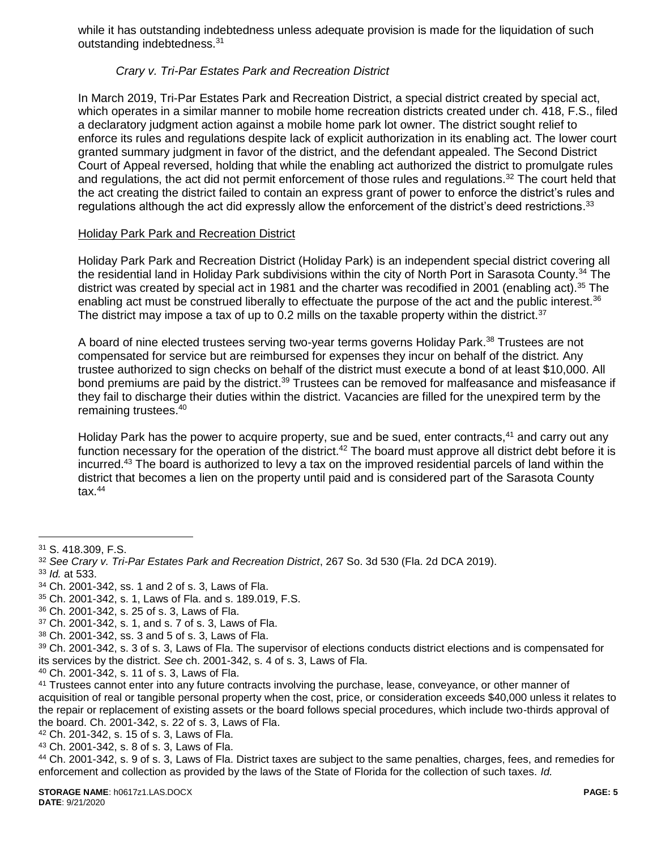while it has outstanding indebtedness unless adequate provision is made for the liquidation of such outstanding indebtedness.<sup>31</sup>

## *Crary v. Tri-Par Estates Park and Recreation District*

In March 2019, Tri-Par Estates Park and Recreation District, a special district created by special act, which operates in a similar manner to mobile home recreation districts created under ch. 418, F.S., filed a declaratory judgment action against a mobile home park lot owner. The district sought relief to enforce its rules and regulations despite lack of explicit authorization in its enabling act. The lower court granted summary judgment in favor of the district, and the defendant appealed. The Second District Court of Appeal reversed, holding that while the enabling act authorized the district to promulgate rules and regulations, the act did not permit enforcement of those rules and regulations.<sup>32</sup> The court held that the act creating the district failed to contain an express grant of power to enforce the district's rules and regulations although the act did expressly allow the enforcement of the district's deed restrictions.<sup>33</sup>

## Holiday Park Park and Recreation District

Holiday Park Park and Recreation District (Holiday Park) is an independent special district covering all the residential land in Holiday Park subdivisions within the city of North Port in Sarasota County.<sup>34</sup> The district was created by special act in 1981 and the charter was recodified in 2001 (enabling act).<sup>35</sup> The enabling act must be construed liberally to effectuate the purpose of the act and the public interest.<sup>36</sup> The district may impose a tax of up to 0.2 mills on the taxable property within the district. $37$ 

A board of nine elected trustees serving two-year terms governs Holiday Park.<sup>38</sup> Trustees are not compensated for service but are reimbursed for expenses they incur on behalf of the district. Any trustee authorized to sign checks on behalf of the district must execute a bond of at least \$10,000. All bond premiums are paid by the district.<sup>39</sup> Trustees can be removed for malfeasance and misfeasance if they fail to discharge their duties within the district. Vacancies are filled for the unexpired term by the remaining trustees.<sup>40</sup>

Holiday Park has the power to acquire property, sue and be sued, enter contracts,<sup>41</sup> and carry out any function necessary for the operation of the district.<sup>42</sup> The board must approve all district debt before it is incurred.<sup>43</sup> The board is authorized to levy a tax on the improved residential parcels of land within the district that becomes a lien on the property until paid and is considered part of the Sarasota County  $tax.<sup>44</sup>$ 

 $\overline{a}$ <sup>31</sup> S. 418.309, F.S.

<sup>32</sup> *See Crary v. Tri-Par Estates Park and Recreation District*, 267 So. 3d 530 (Fla. 2d DCA 2019).

<sup>33</sup> *Id.* at 533.

<sup>34</sup> Ch. 2001-342, ss. 1 and 2 of s. 3, Laws of Fla.

<sup>35</sup> Ch. 2001-342, s. 1, Laws of Fla. and s. 189.019, F.S.

<sup>36</sup> Ch. 2001-342, s. 25 of s. 3, Laws of Fla.

<sup>37</sup> Ch. 2001-342, s. 1, and s. 7 of s. 3, Laws of Fla.

<sup>38</sup> Ch. 2001-342, ss. 3 and 5 of s. 3, Laws of Fla.

<sup>39</sup> Ch. 2001-342, s. 3 of s. 3, Laws of Fla. The supervisor of elections conducts district elections and is compensated for its services by the district. *See* ch. 2001-342, s. 4 of s. 3, Laws of Fla.

<sup>40</sup> Ch. 2001-342, s. 11 of s. 3, Laws of Fla.

<sup>41</sup> Trustees cannot enter into any future contracts involving the purchase, lease, conveyance, or other manner of acquisition of real or tangible personal property when the cost, price, or consideration exceeds \$40,000 unless it relates to the repair or replacement of existing assets or the board follows special procedures, which include two-thirds approval of the board. Ch. 2001-342, s. 22 of s. 3, Laws of Fla.

<sup>42</sup> Ch. 201-342, s. 15 of s. 3, Laws of Fla.

<sup>43</sup> Ch. 2001-342, s. 8 of s. 3, Laws of Fla.

<sup>44</sup> Ch. 2001-342, s. 9 of s. 3, Laws of Fla. District taxes are subject to the same penalties, charges, fees, and remedies for enforcement and collection as provided by the laws of the State of Florida for the collection of such taxes. *Id.*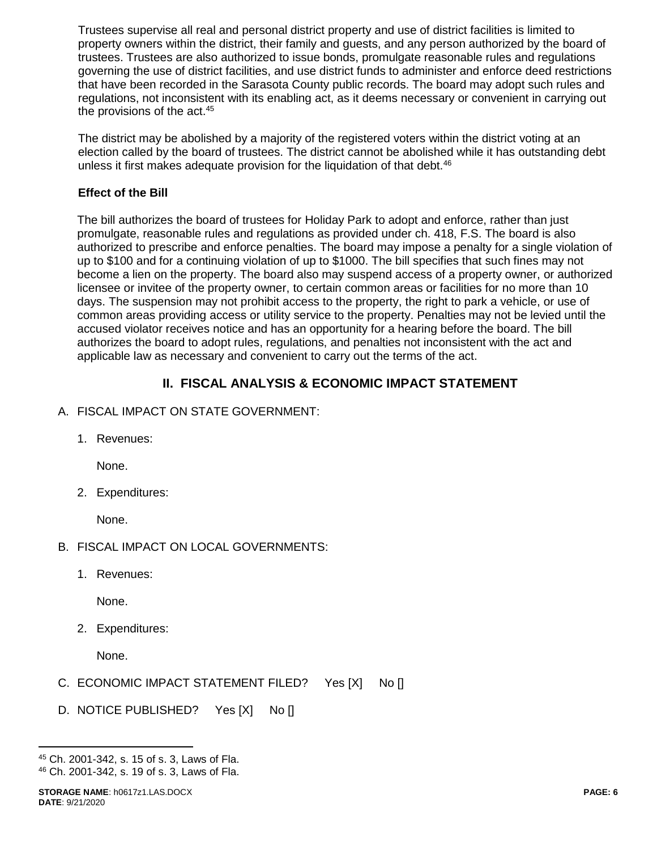Trustees supervise all real and personal district property and use of district facilities is limited to property owners within the district, their family and guests, and any person authorized by the board of trustees. Trustees are also authorized to issue bonds, promulgate reasonable rules and regulations governing the use of district facilities, and use district funds to administer and enforce deed restrictions that have been recorded in the Sarasota County public records. The board may adopt such rules and regulations, not inconsistent with its enabling act, as it deems necessary or convenient in carrying out the provisions of the act.<sup>45</sup>

The district may be abolished by a majority of the registered voters within the district voting at an election called by the board of trustees. The district cannot be abolished while it has outstanding debt unless it first makes adequate provision for the liquidation of that debt.<sup>46</sup>

#### **Effect of the Bill**

The bill authorizes the board of trustees for Holiday Park to adopt and enforce, rather than just promulgate, reasonable rules and regulations as provided under ch. 418, F.S. The board is also authorized to prescribe and enforce penalties. The board may impose a penalty for a single violation of up to \$100 and for a continuing violation of up to \$1000. The bill specifies that such fines may not become a lien on the property. The board also may suspend access of a property owner, or authorized licensee or invitee of the property owner, to certain common areas or facilities for no more than 10 days. The suspension may not prohibit access to the property, the right to park a vehicle, or use of common areas providing access or utility service to the property. Penalties may not be levied until the accused violator receives notice and has an opportunity for a hearing before the board. The bill authorizes the board to adopt rules, regulations, and penalties not inconsistent with the act and applicable law as necessary and convenient to carry out the terms of the act.

# **II. FISCAL ANALYSIS & ECONOMIC IMPACT STATEMENT**

- A. FISCAL IMPACT ON STATE GOVERNMENT:
	- 1. Revenues:

None.

2. Expenditures:

None.

- B. FISCAL IMPACT ON LOCAL GOVERNMENTS:
	- 1. Revenues:

None.

2. Expenditures:

None.

- C. ECONOMIC IMPACT STATEMENT FILED? Yes [X] No []
- D. NOTICE PUBLISHED? Yes [X] No []

 $\overline{a}$ 

<sup>45</sup> Ch. 2001-342, s. 15 of s. 3, Laws of Fla. <sup>46</sup> Ch. 2001-342, s. 19 of s. 3, Laws of Fla.